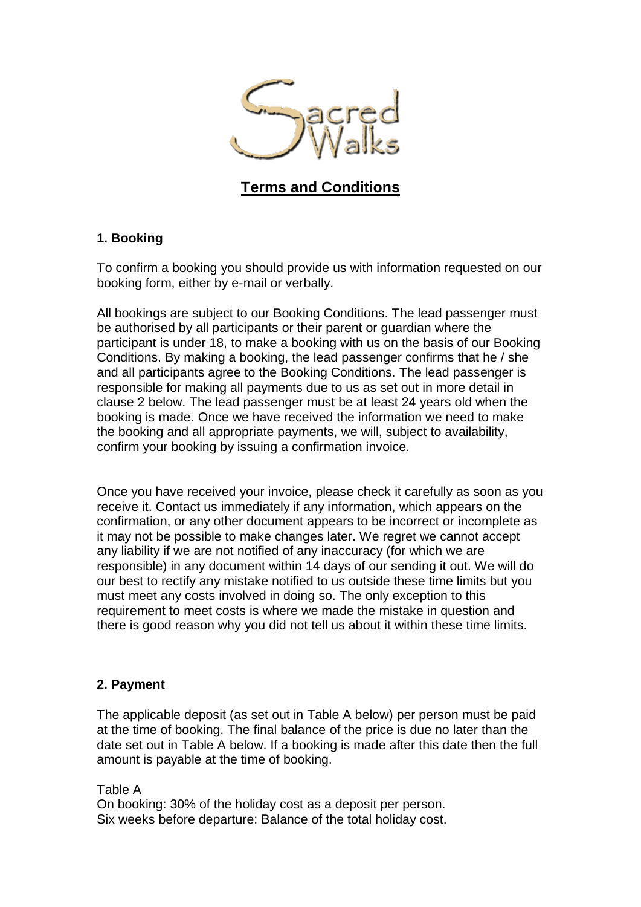

# **Terms and Conditions**

# **1. Booking**

To confirm a booking you should provide us with information requested on our booking form, either by e-mail or verbally.

All bookings are subject to our Booking Conditions. The lead passenger must be authorised by all participants or their parent or guardian where the participant is under 18, to make a booking with us on the basis of our Booking Conditions. By making a booking, the lead passenger confirms that he / she and all participants agree to the Booking Conditions. The lead passenger is responsible for making all payments due to us as set out in more detail in clause 2 below. The lead passenger must be at least 24 years old when the booking is made. Once we have received the information we need to make the booking and all appropriate payments, we will, subject to availability, confirm your booking by issuing a confirmation invoice.

Once you have received your invoice, please check it carefully as soon as you receive it. Contact us immediately if any information, which appears on the confirmation, or any other document appears to be incorrect or incomplete as it may not be possible to make changes later. We regret we cannot accept any liability if we are not notified of any inaccuracy (for which we are responsible) in any document within 14 days of our sending it out. We will do our best to rectify any mistake notified to us outside these time limits but you must meet any costs involved in doing so. The only exception to this requirement to meet costs is where we made the mistake in question and there is good reason why you did not tell us about it within these time limits.

### **2. Payment**

The applicable deposit (as set out in Table A below) per person must be paid at the time of booking. The final balance of the price is due no later than the date set out in Table A below. If a booking is made after this date then the full amount is payable at the time of booking.

#### Table A

On booking: 30% of the holiday cost as a deposit per person. Six weeks before departure: Balance of the total holiday cost.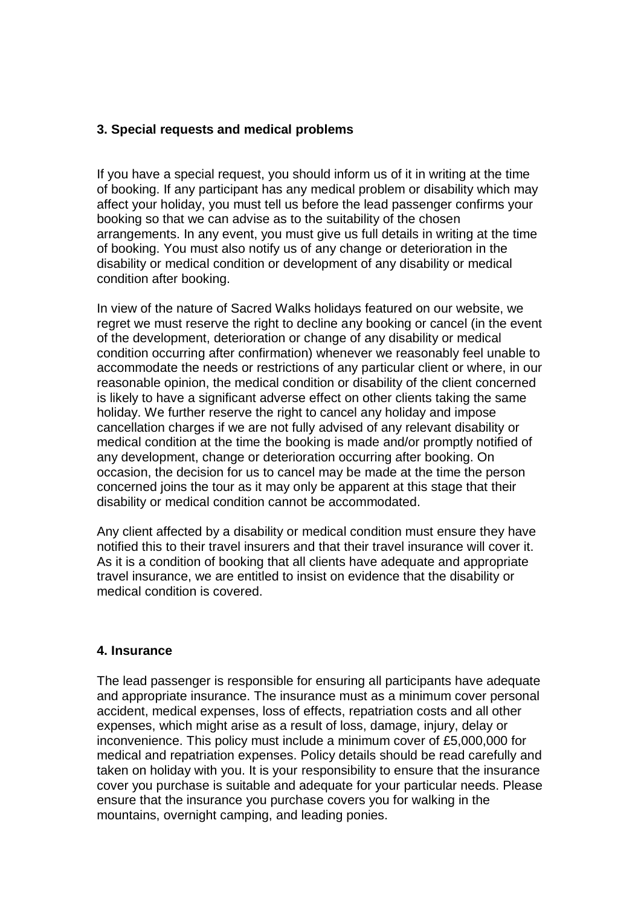# **3. Special requests and medical problems**

If you have a special request, you should inform us of it in writing at the time of booking. If any participant has any medical problem or disability which may affect your holiday, you must tell us before the lead passenger confirms your booking so that we can advise as to the suitability of the chosen arrangements. In any event, you must give us full details in writing at the time of booking. You must also notify us of any change or deterioration in the disability or medical condition or development of any disability or medical condition after booking.

In view of the nature of Sacred Walks holidays featured on our website, we regret we must reserve the right to decline any booking or cancel (in the event of the development, deterioration or change of any disability or medical condition occurring after confirmation) whenever we reasonably feel unable to accommodate the needs or restrictions of any particular client or where, in our reasonable opinion, the medical condition or disability of the client concerned is likely to have a significant adverse effect on other clients taking the same holiday. We further reserve the right to cancel any holiday and impose cancellation charges if we are not fully advised of any relevant disability or medical condition at the time the booking is made and/or promptly notified of any development, change or deterioration occurring after booking. On occasion, the decision for us to cancel may be made at the time the person concerned joins the tour as it may only be apparent at this stage that their disability or medical condition cannot be accommodated.

Any client affected by a disability or medical condition must ensure they have notified this to their travel insurers and that their travel insurance will cover it. As it is a condition of booking that all clients have adequate and appropriate travel insurance, we are entitled to insist on evidence that the disability or medical condition is covered.

### **4. Insurance**

The lead passenger is responsible for ensuring all participants have adequate and appropriate insurance. The insurance must as a minimum cover personal accident, medical expenses, loss of effects, repatriation costs and all other expenses, which might arise as a result of loss, damage, injury, delay or inconvenience. This policy must include a minimum cover of £5,000,000 for medical and repatriation expenses. Policy details should be read carefully and taken on holiday with you. It is your responsibility to ensure that the insurance cover you purchase is suitable and adequate for your particular needs. Please ensure that the insurance you purchase covers you for walking in the mountains, overnight camping, and leading ponies.